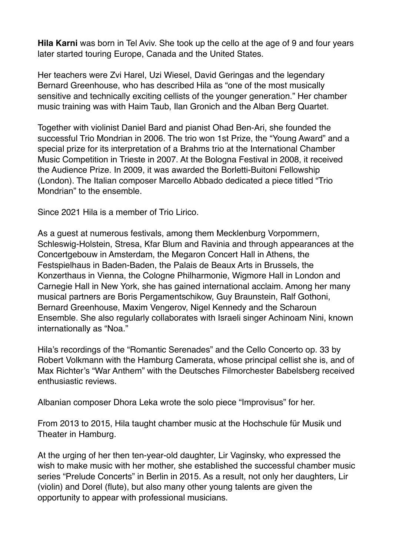**Hila Karni** was born in Tel Aviv. She took up the cello at the age of 9 and four years later started touring Europe, Canada and the United States.

Her teachers were Zvi Harel, Uzi Wiesel, David Geringas and the legendary Bernard Greenhouse, who has described Hila as "one of the most musically sensitive and technically exciting cellists of the younger generation." Her chamber music training was with Haim Taub, Ilan Gronich and the Alban Berg Quartet.

Together with violinist Daniel Bard and pianist Ohad Ben-Ari, she founded the successful Trio Mondrian in 2006. The trio won 1st Prize, the "Young Award" and a special prize for its interpretation of a Brahms trio at the International Chamber Music Competition in Trieste in 2007. At the Bologna Festival in 2008, it received the Audience Prize. In 2009, it was awarded the Borletti-Buitoni Fellowship (London). The Italian composer Marcello Abbado dedicated a piece titled "Trio Mondrian" to the ensemble.

Since 2021 Hila is a member of Trio Lirico.

As a guest at numerous festivals, among them Mecklenburg Vorpommern, Schleswig-Holstein, Stresa, Kfar Blum and Ravinia and through appearances at the Concertgebouw in Amsterdam, the Megaron Concert Hall in Athens, the Festspielhaus in Baden-Baden, the Palais de Beaux Arts in Brussels, the Konzerthaus in Vienna, the Cologne Philharmonie, Wigmore Hall in London and Carnegie Hall in New York, she has gained international acclaim. Among her many musical partners are Boris Pergamentschikow, Guy Braunstein, Ralf Gothoni, Bernard Greenhouse, Maxim Vengerov, Nigel Kennedy and the Scharoun Ensemble. She also regularly collaborates with Israeli singer Achinoam Nini, known internationally as "Noa."

Hila's recordings of the "Romantic Serenades" and the Cello Concerto op. 33 by Robert Volkmann with the Hamburg Camerata, whose principal cellist she is, and of Max Richter's "War Anthem" with the Deutsches Filmorchester Babelsberg received enthusiastic reviews.

Albanian composer Dhora Leka wrote the solo piece "Improvisus" for her.

From 2013 to 2015, Hila taught chamber music at the Hochschule für Musik und Theater in Hamburg.

At the urging of her then ten-year-old daughter, Lir Vaginsky, who expressed the wish to make music with her mother, she established the successful chamber music series "Prelude Concerts" in Berlin in 2015. As a result, not only her daughters, Lir (violin) and Dorel (flute), but also many other young talents are given the opportunity to appear with professional musicians.